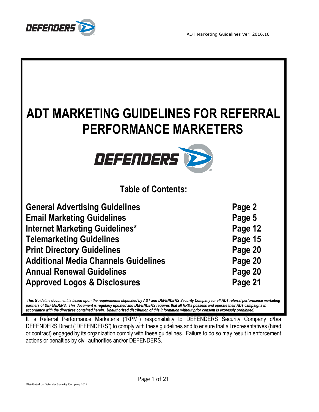

| ADT MARKETING GUIDELINES FOR REFERRAL<br><b>PERFORMANCE MARKETERS</b><br>DEFENDERS |         |
|------------------------------------------------------------------------------------|---------|
| <b>Table of Contents:</b>                                                          |         |
| <b>General Advertising Guidelines</b>                                              | Page 2  |
| <b>Email Marketing Guidelines</b>                                                  | Page 5  |
| Internet Marketing Guidelines*                                                     | Page 12 |
| <b>Telemarketing Guidelines</b>                                                    | Page 15 |
| <b>Print Directory Guidelines</b>                                                  | Page 20 |
| <b>Additional Media Channels Guidelines</b>                                        | Page 20 |
| <b>Annual Renewal Guidelines</b>                                                   | Page 20 |
| <b>Approved Logos &amp; Disclosures</b>                                            | Page 21 |

*This Guideline document is based upon the requirements stipulated by ADT and DEFENDERS Security Company for all ADT referral performance marketing partners of DEFENDERS. This document is regularly updated and DEFENDERS requires that all RPMs possess and operate their ADT campaigns in accordance with the directives contained herein. Unauthorized distribution of this information without prior consent is expressly prohibited.* 

It is Referral Performance Marketer's ("RPM") responsibility to DEFENDERS Security Company d/b/a DEFENDERS Direct ("DEFENDERS") to comply with these guidelines and to ensure that all representatives (hired or contract) engaged by its organization comply with these guidelines. Failure to do so may result in enforcement actions or penalties by civil authorities and/or DEFENDERS.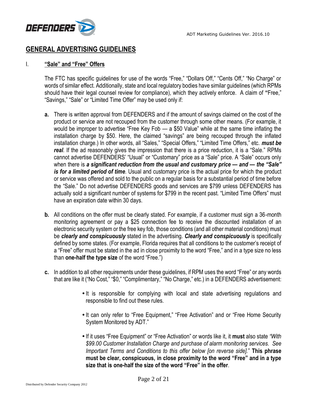

## **GENERAL ADVERTISING GUIDELINES**

#### I. **"Sale" and "Free" Offers**

The FTC has specific guidelines for use of the words "Free," "Dollars Off," "Cents Off," "No Charge" or words of similar effect. Additionally, state and local regulatory bodies have similar guidelines (which RPMs should have their legal counsel review for compliance), which they actively enforce. A claim of **"**Free," "Savings," "Sale" or "Limited Time Offer" may be used only if:

- **a.** There is written approval from DEFENDERS and if the amount of savings claimed on the cost of the product or service are not recouped from the customer through some other means. (For example, it would be improper to advertise "Free Key Fob — a \$50 Value" while at the same time inflating the installation charge by \$50. Here, the claimed "savings" are being recouped through the inflated installation charge.) In other words, all "Sales," "Special Offers," "Limited Time Offers," etc. *must be real.* If the ad reasonably gives the impression that there is a price reduction, it is a "Sale." RPMs cannot advertise DEFENDERS' "Usual" or "Customary" price as a "Sale" price. A "Sale" occurs only when there is *a significant reduction from the usual and customary price — and — the "Sale" is for a limited period of time.* Usual and customary price is the actual price for which the product or service was offered and sold to the public on a regular basis for a substantial period of time before the "Sale." Do not advertise DEFENDERS goods and services are \$799 unless DEFENDERS has actually sold a significant number of systems for \$799 in the recent past. "Limited Time Offers" must have an expiration date within 30 days.
- **b.** All conditions on the offer must be clearly stated. For example, if a customer must sign a 36-month monitoring agreement or pay a \$25 connection fee to receive the discounted installation of an electronic security system or the free key fob, those conditions (and all other material conditions) must be *clearly and conspicuously* stated in the advertising. *Clearly and conspicuously* is specifically defined by some states. (For example, Florida requires that all conditions to the customer's receipt of a "Free" offer must be stated in the ad in close proximity to the word "Free," and in a type size no less than **one-half the type size** of the word "Free.")
- **c.** In addition to all other requirements under these guidelines, if RPM uses the word "Free" or any words that are like it ("No Cost," "\$0," "Complimentary," "No Charge," etc.) in a DEFENDERS advertisement:
	- It is responsible for complying with local and state advertising regulations and responsible to find out these rules.
	- It can only refer to "Free Equipment," "Free Activation" and or "Free Home Security System Monitored by ADT."
	- If it uses "Free Equipment" or "Free Activation" or words like it, it **must** also state *"With \$99.00 Customer Installation Charge and purchase of alarm monitoring services. See Important Terms and Conditions to this offer below [on reverse side].*" **This phrase must be clear, conspicuous, in close proximity to the word "Free" and in a type size that is one-half the size of the word "Free" in the offer**.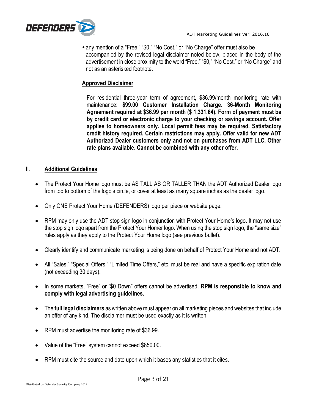

• any mention of a "Free," "\$0," "No Cost," or "No Charge" offer must also be accompanied by the revised legal disclaimer noted below, placed in the body of the advertisement in close proximity to the word "Free," "\$0," "No Cost," or "No Charge" and not as an asterisked footnote.

### **Approved Disclaimer**

For residential three-year term of agreement, \$36.99/month monitoring rate with maintenance: **\$99.00 Customer Installation Charge. 36-Month Monitoring Agreement required at \$36.99 per month (\$ 1,331.64). Form of payment must be by credit card or electronic charge to your checking or savings account. Offer applies to homeowners only. Local permit fees may be required. Satisfactory credit history required. Certain restrictions may apply. Offer valid for new ADT Authorized Dealer customers only and not on purchases from ADT LLC. Other rate plans available. Cannot be combined with any other offer.**

#### II. **Additional Guidelines**

- The Protect Your Home logo must be AS TALL AS OR TALLER THAN the ADT Authorized Dealer logo from top to bottom of the logo's circle, or cover at least as many square inches as the dealer logo.
- Only ONE Protect Your Home (DEFENDERS) logo per piece or website page.
- RPM may only use the ADT stop sign logo in conjunction with Protect Your Home's logo. It may not use the stop sign logo apart from the Protect Your Homer logo. When using the stop sign logo, the "same size" rules apply as they apply to the Protect Your Home logo (see previous bullet).
- Clearly identify and communicate marketing is being done on behalf of Protect Your Home and not ADT.
- All "Sales," "Special Offers," "Limited Time Offers," etc. must be real and have a specific expiration date (not exceeding 30 days).
- In some markets, "Free" or "\$0 Down" offers cannot be advertised. **RPM is responsible to know and comply with legal advertising guidelines.**
- The **full legal disclaimers** as written above must appear on all marketing pieces and websites that include an offer of any kind. The disclaimer must be used exactly as it is written.
- RPM must advertise the monitoring rate of \$36.99.
- Value of the "Free" system cannot exceed \$850.00.
- RPM must cite the source and date upon which it bases any statistics that it cites.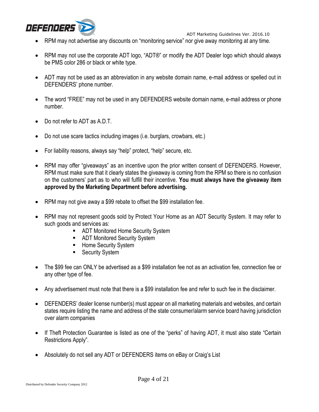

- RPM may not advertise any discounts on "monitoring service" nor give away monitoring at any time.
- RPM may not use the corporate ADT logo, "ADT®" or modify the ADT Dealer logo which should always be PMS color 286 or black or white type.
- ADT may not be used as an abbreviation in any website domain name, e-mail address or spelled out in DEFENDERS' phone number.
- The word "FREE" may not be used in any DEFENDERS website domain name, e-mail address or phone number.
- Do not refer to ADT as A.D.T.
- Do not use scare tactics including images (i.e. burglars, crowbars, etc.)
- For liability reasons, always say "help" protect, "help" secure, etc.
- RPM may offer "giveaways" as an incentive upon the prior written consent of DEFENDERS. However, RPM must make sure that it clearly states the giveaway is coming from the RPM so there is no confusion on the customers' part as to who will fulfill their incentive. **You must always have the giveaway item approved by the Marketing Department before advertising.**
- RPM may not give away a \$99 rebate to offset the \$99 installation fee.
- RPM may not represent goods sold by Protect Your Home as an ADT Security System. It may refer to such goods and services as:
	- ADT Monitored Home Security System
	- ADT Monitored Security System
	- **Home Security System**
	- **Security System**
- The \$99 fee can ONLY be advertised as a \$99 installation fee not as an activation fee, connection fee or any other type of fee.
- Any advertisement must note that there is a \$99 installation fee and refer to such fee in the disclaimer.
- DEFENDERS' dealer license number(s) must appear on all marketing materials and websites, and certain states require listing the name and address of the state consumer/alarm service board having jurisdiction over alarm companies
- If Theft Protection Guarantee is listed as one of the "perks" of having ADT, it must also state "Certain Restrictions Apply".
- Absolutely do not sell any ADT or DEFENDERS items on eBay or Craig's List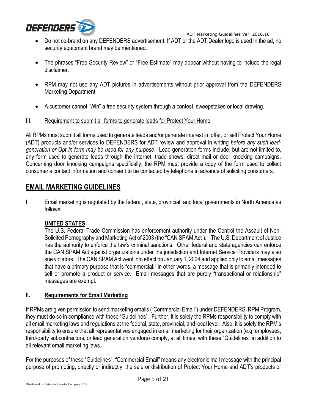

- Do not co-brand on any DEFENDERS advertisement. If ADT or the ADT Dealer logo is used in the ad, no security equipment brand may be mentioned.
- The phrases "Free Security Review" or "Free Estimate" may appear without having to include the legal disclaimer.
- RPM may not use any ADT pictures in advertisements without prior approval from the DEFENDERS Marketing Department.
- A customer cannot "Win" a free security system through a contest, sweepstakes or local drawing.
- III. Requirement to submit all forms to generate leads for Protect Your Home

All RPMs must submit all forms used to generate leads and/or generate interest in, offer, or sell Protect Your Home (ADT) products and/or services to DEFENDERS for ADT review and approval in writing *before any such leadgeneration or Opt-In form may be used for any purpose*. Lead-generation forms include, but are not limited to, any form used to generate leads through the Internet, trade shows, direct mail or door knocking campaigns. Concerning door knocking campaigns specifically: the RPM must provide a copy of the form used to collect consumer's contact information and consent to be contacted by telephone in advance of soliciting consumers.

# **EMAIL MARKETING GUIDELINES**

I. Email marketing is regulated by the federal, state, provincial, and local governments in North America as follows:

## **UNITED STATES**

The U.S. Federal Trade Commission has enforcement authority under the Control the Assault of Non-Solicited Pornography and Marketing Act of 2003 (the "CAN SPAM Act"). The U.S. Department of Justice has the authority to enforce the law's criminal sanctions. Other federal and state agencies can enforce the CAN SPAM Act against organizations under the jurisdiction and Internet Service Providers may also sue violators. The CAN SPAM Act went into effect on January 1, 2004 and applied only to email messages that have a primary purpose that is "commercial;" in other words, a message that is primarily intended to sell or promote a product or service. Email messages that are purely "transactional or relationship" messages are exempt.

## **II. Requirements for Email Marketing**

If RPMs are given permission to send marketing emails ("Commercial Email") under DEFENDERS' RPM Program, they must do so in compliance with these "Guidelines". Further, it is solely the RPMs responsibility to comply with all email marketing laws and regulations at the federal, state, provincial, and local level. Also, it is solely the RPM's responsibility to ensure that all representatives engaged in email marketing for their organization (e.g. employees, third-party subcontractors, or lead generation vendors) comply, at all times, with these "Guidelines" in addition to all relevant email marketing laws.

For the purposes of these "Guidelines", "Commercial Email" means any electronic mail message with the principal purpose of promoting, directly or indirectly, the sale or distribution of Protect Your Home and ADT's products or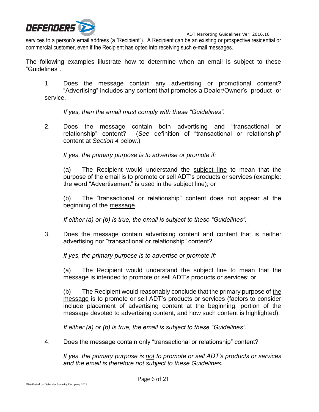

services to a person's email address (a "Recipient"). A Recipient can be an existing or prospective residential or commercial customer, even if the Recipient has opted into receiving such e-mail messages.

The following examples illustrate how to determine when an email is subject to these "Guidelines".

1. Does the message contain any advertising or promotional content? "Advertising" includes any content that promotes a Dealer/Owner's product or service.

*If yes, then the email must comply with these "Guidelines".* 

2. Does the message contain both advertising and "transactional or relationship" content? (*See* definition of "transactional or relationship" content at *Section 4* below.)

*If yes, the primary purpose is to advertise or promote if:*

(a) The Recipient would understand the subject line to mean that the purpose of the email is to promote or sell ADT's products or services (example: the word "Advertisement" is used in the subject line); or

(b) The "transactional or relationship" content does not appear at the beginning of the message.

*If either (a) or (b) is true, the email is subject to these "Guidelines".*

3. Does the message contain advertising content and content that is neither advertising nor "transactional or relationship" content?

*If yes, the primary purpose is to advertise or promote if:* 

(a) The Recipient would understand the subject line to mean that the message is intended to promote or sell ADT's products or services; or

(b) The Recipient would reasonably conclude that the primary purpose of the message is to promote or sell ADT's products or services (factors to consider include placement of advertising content at the beginning, portion of the message devoted to advertising content, and how such content is highlighted).

*If either (a) or (b) is true, the email is subject to these "Guidelines".*

4. Does the message contain only "transactional or relationship" content?

*If yes, the primary purpose is not to promote or sell ADT's products or services and the email is therefore not subject to these Guidelines.*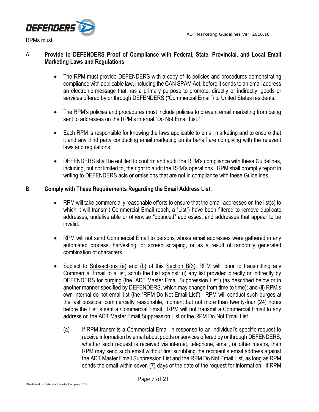

A. **Provide to DEFENDERS Proof of Compliance with Federal, State, Provincial, and Local Email Marketing Laws and Regulations**

- The RPM must provide DEFENDERS with a copy of its policies and procedures demonstrating compliance with applicable law, including the CAN SPAM Act, before it sends to an email address an electronic message that has a primary purpose to promote, directly or indirectly, goods or services offered by or through DEFENDERS ("Commercial Email") to United States residents.
- The RPM's policies and procedures must include policies to prevent email marketing from being sent to addresses on the RPM's internal "Do Not Email List."
- Each RPM is responsible for knowing the laws applicable to email marketing and to ensure that it and any third party conducting email marketing on its behalf are complying with the relevant laws and regulations.
- DEFENDERS shall be entitled to confirm and audit the RPM's compliance with these Guidelines, including, but not limited to, the right to audit the RPM's operations. RPM shall promptly report in writing to DEFENDERS acts or omissions that are not in compliance with these Guidelines.

#### B. **Comply with These Requirements Regarding the Email Address List.**

- RPM will take commercially reasonable efforts to ensure that the email addresses on the list(s) to which it will transmit Commercial Email (each, a "List") have been filtered to remove duplicate addresses, undeliverable or otherwise "bounced" addresses, and addresses that appear to be invalid.
- RPM will not send Commercial Email to persons whose email addresses were gathered in any automated process, harvesting, or screen scraping, or as a result of randomly generated combination of characters.
- Subject to Subsections (a) and (b) of this Section B(3), RPM will, prior to transmitting any Commercial Email to a list, scrub the List against: (i) any list provided directly or indirectly by DEFENDERS for purging (the "ADT Master Email Suppression List") (as described below or in another manner specified by DEFENDERS, which may change from time to time); and (ii) RPM's own internal do-not-email list (the "RPM Do Not Email List"). RPM will conduct such purges at the last possible, commercially reasonable, moment but not more than twenty-four (24) hours before the List is sent a Commercial Email. RPM will not transmit a Commercial Email to any address on the ADT Master Email Suppression List or the RPM Do Not Email List.
	- (a) If RPM transmits a Commercial Email in response to an individual's specific request to receive information by email about goods or services offered by or through DEFENDERS, whether such request is received via internet, telephone, email, or other means, then RPM may send such email without first scrubbing the recipient's email address against the ADT Master Email Suppression List and the RPM Do Not Email List, as long as RPM sends the email within seven (7) days of the date of the request for information. If RPM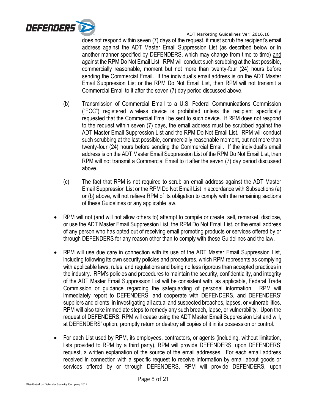

does not respond within seven (7) days of the request, it must scrub the recipient's email address against the ADT Master Email Suppression List (as described below or in another manner specified by DEFENDERS, which may change from time to time) and against the RPM Do Not Email List. RPM will conduct such scrubbing at the last possible, commercially reasonable, moment but not more than twenty-four (24) hours before sending the Commercial Email. If the individual's email address is on the ADT Master Email Suppression List or the RPM Do Not Email List, then RPM will not transmit a Commercial Email to it after the seven (7) day period discussed above.

- (b) Transmission of Commercial Email to a U.S. Federal Communications Commission ("FCC") registered wireless device is prohibited unless the recipient specifically requested that the Commercial Email be sent to such device. If RPM does not respond to the request within seven (7) days, the email address must be scrubbed against the ADT Master Email Suppression List and the RPM Do Not Email List. RPM will conduct such scrubbing at the last possible, commercially reasonable moment, but not more than twenty-four (24) hours before sending the Commercial Email. If the individual's email address is on the ADT Master Email Suppression List of the RPM Do Not Email List, then RPM will not transmit a Commercial Email to it after the seven (7) day period discussed above.
- (c) The fact that RPM is not required to scrub an email address against the ADT Master Email Suppression List or the RPM Do Not Email List in accordance with Subsections (a) or (b) above, will not relieve RPM of its obligation to comply with the remaining sections of these Guidelines or any applicable law.
- RPM will not (and will not allow others to) attempt to compile or create, sell, remarket, disclose, or use the ADT Master Email Suppression List, the RPM Do Not Email List, or the email address of any person who has opted out of receiving email promoting products or services offered by or through DEFENDERS for any reason other than to comply with these Guidelines and the law.
- RPM will use due care in connection with its use of the ADT Master Email Suppression List, including following its own security policies and procedures, which RPM represents as complying with applicable laws, rules, and regulations and being no less rigorous than accepted practices in the industry. RPM's policies and procedures to maintain the security, confidentiality, and integrity of the ADT Master Email Suppression List will be consistent with, as applicable, Federal Trade Commission or guidance regarding the safeguarding of personal information. RPM will immediately report to DEFENDERS, and cooperate with DEFENDERS, and DEFENDERS' suppliers and clients, in investigating all actual and suspected breaches, lapses, or vulnerabilities. RPM will also take immediate steps to remedy any such breach, lapse, or vulnerability. Upon the request of DEFENDERS, RPM will cease using the ADT Master Email Suppression List and will, at DEFENDERS' option, promptly return or destroy all copies of it in its possession or control.
- For each List used by RPM, its employees, contractors, or agents (including, without limitation, lists provided to RPM by a third party), RPM will provide DEFENDERS, upon DEFENDERS' request, a written explanation of the source of the email addresses. For each email address received in connection with a specific request to receive information by email about goods or services offered by or through DEFENDERS, RPM will provide DEFENDERS, upon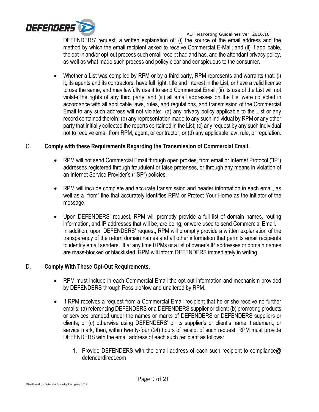

DEFENDERS' request, a written explanation of: (i) the source of the email address and the method by which the email recipient asked to receive Commercial E-Mail; and (ii) if applicable, the opt-in and/or opt-out process such email receipt had and has, and the attendant privacy policy, as well as what made such process and policy clear and conspicuous to the consumer.

 Whether a List was compiled by RPM or by a third party, RPM represents and warrants that: (i) it, its agents and its contractors, have full right, title and interest in the List, or have a valid license to use the same, and may lawfully use it to send Commercial Email; (ii) its use of the List will not violate the rights of any third party; and (iii) all email addresses on the List were collected in accordance with all applicable laws, rules, and regulations, and transmission of the Commercial Email to any such address will not violate: (a) any privacy policy applicable to the List or any record contained therein; (b) any representation made to any such individual by RPM or any other party that initially collected the reports contained in the List; (c) any request by any such individual not to receive email from RPM, agent, or contractor; or (d) any applicable law, rule, or regulation.

### C. **Comply with these Requirements Regarding the Transmission of Commercial Email.**

- RPM will not send Commercial Email through open proxies, from email or Internet Protocol ("IP") addresses registered through fraudulent or false pretenses, or through any means in violation of an Internet Service Provider's ("ISP") policies.
- RPM will include complete and accurate transmission and header information in each email, as well as a "from" line that accurately identifies RPM or Protect Your Home as the initiator of the message.
- Upon DEFENDERS' request, RPM will promptly provide a full list of domain names, routing information, and IP addresses that will be, are being, or were used to send Commercial Email. In addition, upon DEFENDERS' request, RPM will promptly provide a written explanation of the transparency of the return domain names and all other information that permits email recipients to identify email senders. If at any time RPMs or a list of owner's IP addresses or domain names are mass-blocked or blacklisted, RPM will inform DEFENDERS immediately in writing.

#### D. **Comply With These Opt-Out Requirements.**

- RPM must include in each Commercial Email the opt-out information and mechanism provided by DEFENDERS through PossibleNow and unaltered by RPM.
- If RPM receives a request from a Commercial Email recipient that he or she receive no further emails: (a) referencing DEFENDERS or a DEFENDERS supplier or client; (b) promoting products or services branded under the names or marks of DEFENDERS or DEFENDERS suppliers or clients; or (c) otherwise using DEFENDERS' or its supplier's or client's name, trademark, or service mark, then, within twenty-four (24) hours of receipt of such request, RPM must provide DEFENDERS with the email address of each such recipient as follows:
	- 1. Provide DEFENDERS with the email address of each such recipient to compliance@ defenderdirect.com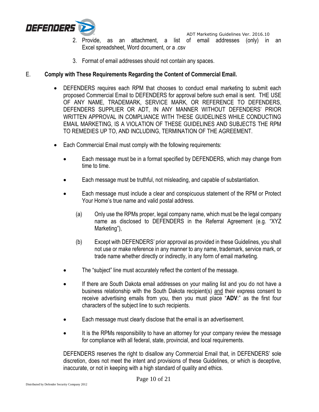

- 2. Provide, as an attachment, a list of email addresses (only) in an Excel spreadsheet, Word document, or a .csv
- 3. Format of email addresses should not contain any spaces.

## E. **Comply with These Requirements Regarding the Content of Commercial Email.**

- DEFENDERS requires each RPM that chooses to conduct email marketing to submit each proposed Commercial Email to DEFENDERS for approval before such email is sent. THE USE OF ANY NAME, TRADEMARK, SERVICE MARK, OR REFERENCE TO DEFENDERS, DEFENDERS SUPPLIER OR ADT, IN ANY MANNER WITHOUT DEFENDERS' PRIOR WRITTEN APPROVAL IN COMPLIANCE WITH THESE GUIDELINES WHILE CONDUCTING EMAIL MARKETING, IS A VIOLATION OF THESE GUIDELINES AND SUBJECTS THE RPM TO REMEDIES UP TO, AND INCLUDING, TERMINATION OF THE AGREEMENT.
- Each Commercial Email must comply with the following requirements:
	- Each message must be in a format specified by DEFENDERS, which may change from time to time.
	- Each message must be truthful, not misleading, and capable of substantiation.
	- Each message must include a clear and conspicuous statement of the RPM or Protect Your Home's true name and valid postal address.
		- (a) Only use the RPMs proper, legal company name, which must be the legal company name as disclosed to DEFENDERS in the Referral Agreement (e.g. "XYZ Marketing"),
		- (b) Except with DEFENDERS' prior approval as provided in these Guidelines, you shall not use or make reference in any manner to any name, trademark, service mark, or trade name whether directly or indirectly, in any form of email marketing.
	- The "subject" line must accurately reflect the content of the message.
	- If there are South Dakota email addresses on your mailing list and you do not have a business relationship with the South Dakota recipient(s) and their express consent to receive advertising emails from you, then you must place "**ADV**:" as the first four characters of the subject line to such recipients.
	- Each message must clearly disclose that the email is an advertisement.
	- It is the RPMs responsibility to have an attorney for your company review the message for compliance with all federal, state, provincial, and local requirements.

DEFENDERS reserves the right to disallow any Commercial Email that, in DEFENDERS' sole discretion, does not meet the intent and provisions of these Guidelines, or which is deceptive, inaccurate, or not in keeping with a high standard of quality and ethics.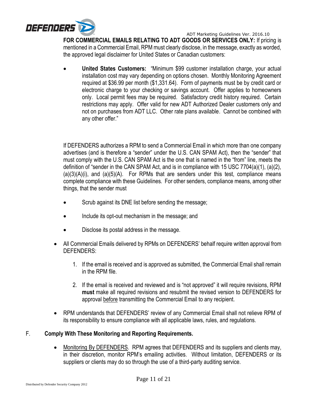

**FOR COMMERCIAL EMAILS RELATING TO ADT GOODS OR SERVICES ONLY:** If pricing is mentioned in a Commercial Email, RPM must clearly disclose, in the message, exactly as worded, the approved legal disclaimer for United States or Canadian customers:

 **United States Customers:** "Minimum \$99 customer installation charge, your actual installation cost may vary depending on options chosen. Monthly Monitoring Agreement required at \$36.99 per month (\$1,331.64). Form of payments must be by credit card or electronic charge to your checking or savings account. Offer applies to homeowners only. Local permit fees may be required. Satisfactory credit history required. Certain restrictions may apply. Offer valid for new ADT Authorized Dealer customers only and not on purchases from ADT LLC. Other rate plans available. Cannot be combined with any other offer."

If DEFENDERS authorizes a RPM to send a Commercial Email in which more than one company advertises (and is therefore a "sender" under the U.S. CAN SPAM Act), then the "sender" that must comply with the U.S. CAN SPAM Act is the one that is named in the "from" line, meets the definition of "sender in the CAN SPAM Act, and is in compliance with 15 USC 7704(a)(1), (a)(2),  $(a)(3)(A)(i)$ , and  $(a)(5)(A)$ . For RPMs that are senders under this test, compliance means complete compliance with these Guidelines. For other senders, compliance means, among other things, that the sender must

- Scrub against its DNE list before sending the message;
- Include its opt-out mechanism in the message; and
- Disclose its postal address in the message.
- All Commercial Emails delivered by RPMs on DEFENDERS' behalf require written approval from DEFENDERS:
	- 1. If the email is received and is approved as submitted, the Commercial Email shall remain in the RPM file.
	- 2. If the email is received and reviewed and is "not approved" it will require revisions, RPM **must** make all required revisions and resubmit the revised version to DEFENDERS for approval before transmitting the Commercial Email to any recipient.
- RPM understands that DEFENDERS' review of any Commercial Email shall not relieve RPM of its responsibility to ensure compliance with all applicable laws, rules, and regulations.

## F. **Comply With These Monitoring and Reporting Requirements.**

 Monitoring By DEFENDERS. RPM agrees that DEFENDERS and its suppliers and clients may, in their discretion, monitor RPM's emailing activities. Without limitation, DEFENDERS or its suppliers or clients may do so through the use of a third-party auditing service.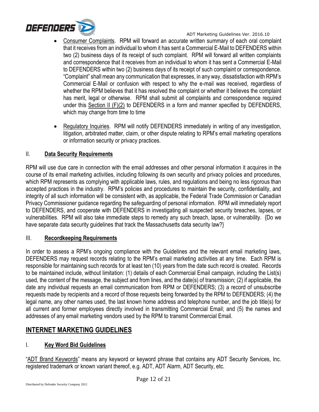

- Consumer Complaints. RPM will forward an accurate written summary of each oral complaint that it receives from an individual to whom it has sent a Commercial E-Mail to DEFENDERS within two (2) business days of its receipt of such complaint. RPM will forward all written complaints and correspondence that it receives from an individual to whom it has sent a Commercial E-Mail to DEFENDERS within two (2) business days of its receipt of such complaint or correspondence. "Complaint" shall mean any communication that expresses, in any way, dissatisfaction with RPM's Commercial E-Mail or confusion with respect to why the e-mail was received, regardless of whether the RPM believes that it has resolved the complaint or whether it believes the complaint has merit, legal or otherwise. RPM shall submit all complaints and correspondence required under this Section II (F)(2) to DEFENDERS in a form and manner specified by DEFENDERS, which may change from time to time
- Regulatory Inquiries. RPM will notify DEFENDERS immediately in writing of any investigation, litigation, arbitrated matter, claim, or other dispute relating to RPM's email marketing operations or information security or privacy practices.

## II. **Data Security Requirements**

RPM will use due care in connection with the email addresses and other personal information it acquires in the course of its email marketing activities, including following its own security and privacy policies and procedures, which RPM represents as complying with applicable laws, rules, and regulations and being no less rigorous than accepted practices in the industry. RPM's policies and procedures to maintain the security, confidentiality, and integrity of all such information will be consistent with, as applicable, the Federal Trade Commission or Canadian Privacy Commissioner guidance regarding the safeguarding of personal information. RPM will immediately report to DEFENDERS, and cooperate with DEFENDERS in investigating all suspected security breaches, lapses, or vulnerabilities. RPM will also take immediate steps to remedy any such breach, lapse, or vulnerability. {Do we have separate data security guidelines that track the Massachusetts data security law?}

## III. **Recordkeeping Requirements**

In order to assess a RPM's ongoing compliance with the Guidelines and the relevant email marketing laws, DEFENDERS may request records relating to the RPM's email marketing activities at any time. Each RPM is responsible for maintaining such records for at least ten (10) years from the date such record is created. Records to be maintained include, without limitation: (1) details of each Commercial Email campaign, including the List(s) used, the content of the message, the subject and from lines, and the date(s) of transmission; (2) if applicable, the date any individual requests an email communication from RPM or DEFENDERS; (3) a record of unsubscribe requests made by recipients and a record of those requests being forwarded by the RPM to DEFENDERS; (4) the legal name, any other names used, the last known home address and telephone number, and the job title(s) for all current and former employees directly involved in transmitting Commercial Email; and (5) the names and addresses of any email marketing vendors used by the RPM to transmit Commercial Email.

# **INTERNET MARKETING GUIDELINES**

## I. **Key Word Bid Guidelines**

"ADT Brand Keywords" means any keyword or keyword phrase that contains any ADT Security Services, Inc. registered trademark or known variant thereof, e.g. ADT, ADT Alarm, ADT Security, etc.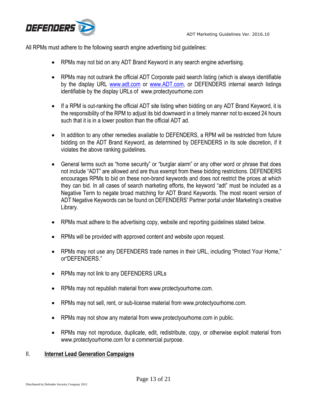



All RPMs must adhere to the following search engine advertising bid guidelines:

- RPMs may not bid on any ADT Brand Keyword in any search engine advertising.
- RPMs may not outrank the official ADT Corporate paid search listing (which is always identifiable by the display URL www.adt.com or [www.ADT.com,](http://www.adt.com/) or DEFENDERS internal search listings identifiable by the display URLs of www.protectyourhome.com
- If a RPM is out-ranking the official ADT site listing when bidding on any ADT Brand Keyword, it is the responsibility of the RPM to adjust its bid downward in a timely manner not to exceed 24 hours such that it is in a lower position than the official ADT ad.
- In addition to any other remedies available to DEFENDERS, a RPM will be restricted from future bidding on the ADT Brand Keyword, as determined by DEFENDERS in its sole discretion, if it violates the above ranking guidelines.
- General terms such as "home security" or "burglar alarm" or any other word or phrase that does not include "ADT" are allowed and are thus exempt from these bidding restrictions. DEFENDERS encourages RPMs to bid on these non-brand keywords and does not restrict the prices at which they can bid. In all cases of search marketing efforts, the keyword "adt" must be included as a Negative Term to negate broad matching for ADT Brand Keywords. The most recent version of ADT Negative Keywords can be found on DEFENDERS' Partner portal under Marketing's creative Library.
- RPMs must adhere to the advertising copy, website and reporting quidelines stated below.
- RPMs will be provided with approved content and website upon request.
- RPMs may not use any DEFENDERS trade names in their URL, including "Protect Your Home," or"DEFENDERS."
- RPMs may not link to any DEFENDERS URLs
- RPMs may not republish material from www.protectyourhome.com.
- RPMs may not sell, rent, or sub-license material from www.protectyourhome.com.
- RPMs may not show any material from www.protectyourhome.com in public.
- RPMs may not reproduce, duplicate, edit, redistribute, copy, or otherwise exploit material from www.protectyourhome.com for a commercial purpose.

## II. **Internet Lead Generation Campaigns**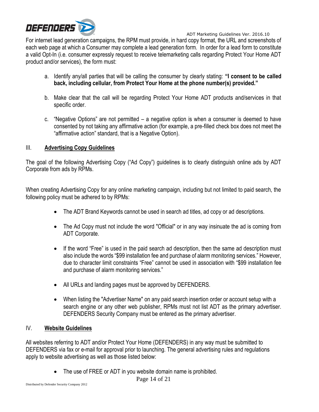

For internet lead generation campaigns, the RPM must provide, in hard copy format, the URL and screenshots of each web page at which a Consumer may complete a lead generation form. In order for a lead form to constitute a valid Opt-In (i.e. consumer expressly request to receive telemarketing calls regarding Protect Your Home ADT product and/or services), the form must:

- a. Identify any/all parties that will be calling the consumer by clearly stating: **"I consent to be called back, including cellular, from Protect Your Home at the phone number(s) provided."**
- b. Make clear that the call will be regarding Protect Your Home ADT products and/services in that specific order.
- c. "Negative Options" are not permitted a negative option is when a consumer is deemed to have consented by not taking any affirmative action (for example, a pre-filled check box does not meet the "affirmative action" standard, that is a Negative Option).

## III. **Advertising Copy Guidelines**

The goal of the following Advertising Copy ("Ad Copy") guidelines is to clearly distinguish online ads by ADT Corporate from ads by RPMs.

When creating Advertising Copy for any online marketing campaign, including but not limited to paid search, the following policy must be adhered to by RPMs:

- The ADT Brand Keywords cannot be used in search ad titles, ad copy or ad descriptions.
- The Ad Copy must not include the word "Official" or in any way insinuate the ad is coming from ADT Corporate.
- If the word "Free" is used in the paid search ad description, then the same ad description must also include the words "\$99 installation fee and purchase of alarm monitoring services." However, due to character limit constraints "Free" cannot be used in association with "\$99 installation fee and purchase of alarm monitoring services."
- All URLs and landing pages must be approved by DEFENDERS.
- When listing the "Advertiser Name" on any paid search insertion order or account setup with a search engine or any other web publisher, RPMs must not list ADT as the primary advertiser. DEFENDERS Security Company must be entered as the primary advertiser.

## IV. **Website Guidelines**

All websites referring to ADT and/or Protect Your Home (DEFENDERS) in any way must be submitted to DEFENDERS via fax or e-mail for approval prior to launching. The general advertising rules and regulations apply to website advertising as well as those listed below:

The use of FREE or ADT in you website domain name is prohibited.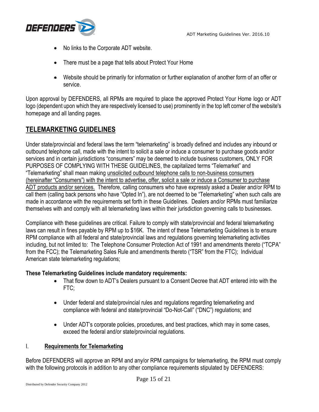

- No links to the Corporate ADT website.
- There must be a page that tells about Protect Your Home
- Website should be primarily for information or further explanation of another form of an offer or service.

Upon approval by DEFENDERS, all RPMs are required to place the approved Protect Your Home logo or ADT logo (dependent upon which they are respectively licensed to use) prominently in the top left corner of the website's homepage and all landing pages.

## **TELEMARKETING GUIDELINES**

Under state/provincial and federal laws the term "telemarketing" is broadly defined and includes any inbound or outbound telephone call, made with the intent to solicit a sale or induce a consumer to purchase goods and/or services and in certain jurisdictions "consumers" may be deemed to include business customers, ONLY FOR PURPOSES OF COMPLYING WITH THESE GUIDELINES, the capitalized terms "Telemarket" and "Telemarketing" shall mean making unsolicited outbound telephone calls to non-business consumers (hereinafter "Consumers") with the intent to advertise, offer, solicit a sale or induce a Consumer to purchase ADT products and/or services. Therefore, calling consumers who have expressly asked a Dealer and/or RPM to call them (calling back persons who have "Opted In"), are not deemed to be "Telemarketing" when such calls are made in accordance with the requirements set forth in these Guidelines. Dealers and/or RPMs must familiarize themselves with and comply with all telemarketing laws within their jurisdiction governing calls to businesses.

Compliance with these guidelines are critical. Failure to comply with state/provincial and federal telemarketing laws can result in fines payable by RPM up to \$16K. The intent of these Telemarketing Guidelines is to ensure RPM compliance with all federal and state/provincial laws and regulations governing telemarketing activities including, but not limited to: The Telephone Consumer Protection Act of 1991 and amendments thereto ("TCPA" from the FCC); the Telemarketing Sales Rule and amendments thereto ("TSR" from the FTC); Individual American state telemarketing regulations;

#### **These Telemarketing Guidelines include mandatory requirements:**

- That flow down to ADT's Dealers pursuant to a Consent Decree that ADT entered into with the FTC;
- Under federal and state/provincial rules and regulations regarding telemarketing and compliance with federal and state/provincial "Do-Not-Call" ("DNC") regulations; and
- Under ADT's corporate policies, procedures, and best practices, which may in some cases, exceed the federal and/or state/provincial regulations.

## I. **Requirements for Telemarketing**

Before DEFENDERS will approve an RPM and any/or RPM campaigns for telemarketing, the RPM must comply with the following protocols in addition to any other compliance requirements stipulated by DEFENDERS: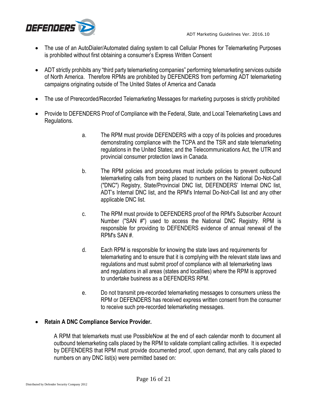

- The use of an AutoDialer/Automated dialing system to call Cellular Phones for Telemarketing Purposes is prohibited without first obtaining a consumer's Express Written Consent
- ADT strictly prohibits any "third party telemarketing companies" performing telemarketing services outside of North America.Therefore RPMs are prohibited by DEFENDERS from performing ADT telemarketing campaigns originating outside of The United States of America and Canada
- The use of Prerecorded/Recorded Telemarketing Messages for marketing purposes is strictly prohibited
- Provide to DEFENDERS Proof of Compliance with the Federal, State, and Local Telemarketing Laws and Regulations.
	- a. The RPM must provide DEFENDERS with a copy of its policies and procedures demonstrating compliance with the TCPA and the TSR and state telemarketing regulations in the United States; and the Telecommunications Act, the UTR and provincial consumer protection laws in Canada.
	- b. The RPM policies and procedures must include policies to prevent outbound telemarketing calls from being placed to numbers on the National Do-Not-Call ("DNC") Registry, State/Provincial DNC list, DEFENDERS' Internal DNC list, ADT's Internal DNC list, and the RPM's Internal Do-Not-Call list and any other applicable DNC list.
	- c. The RPM must provide to DEFENDERS proof of the RPM's Subscriber Account Number ("SAN #") used to access the National DNC Registry. RPM is responsible for providing to DEFENDERS evidence of annual renewal of the RPM's SAN #.
	- d. Each RPM is responsible for knowing the state laws and requirements for telemarketing and to ensure that it is complying with the relevant state laws and regulations and must submit proof of compliance with all telemarketing laws and regulations in all areas (states and localities) where the RPM is approved to undertake business as a DEFENDERS RPM.
	- e. Do not transmit pre-recorded telemarketing messages to consumers unless the RPM or DEFENDERS has received express written consent from the consumer to receive such pre-recorded telemarketing messages.

## **Retain A DNC Compliance Service Provider.**

A RPM that telemarkets must use PossibleNow at the end of each calendar month to document all outbound telemarketing calls placed by the RPM to validate compliant calling activities. It is expected by DEFENDERS that RPM must provide documented proof, upon demand, that any calls placed to numbers on any DNC list(s) were permitted based on: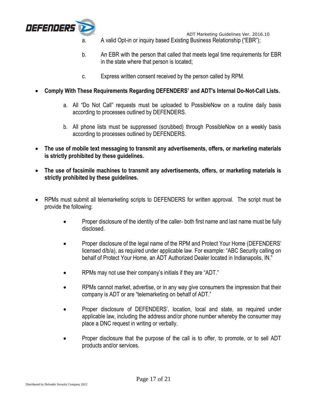

- a. A valid Opt-in or inquiry based Existing Business Relationship ("EBR");
- b. An EBR with the person that called that meets legal time requirements for EBR in the state where that person is located;
- c. Express written consent received by the person called by RPM.
- **Comply With These Requirements Regarding DEFENDERS' and ADT's Internal Do-Not-Call Lists.** 
	- a. All "Do Not Call" requests must be uploaded to PossibleNow on a routine daily basis according to processes outlined by DEFENDERS.
	- b. All phone lists must be suppressed (scrubbed) through PossibleNow on a weekly basis according to processes outlined by DEFENDERS.
- **The use of mobile text messaging to transmit any advertisements, offers, or marketing materials is strictly prohibited by these guidelines.**
- **The use of facsimile machines to transmit any advertisements, offers, or marketing materials is strictly prohibited by these guidelines.**
- RPMs must submit all telemarketing scripts to DEFENDERS for written approval. The script must be provide the following:
	- Proper disclosure of the identity of the caller- both first name and last name must be fully disclosed.
	- Proper disclosure of the legal name of the RPM and Protect Your Home (DEFENDERS' licensed d/b/a), as required under applicable law. For example: "ABC Security calling on behalf of Protect Your Home, an ADT Authorized Dealer located in Indianapolis, IN."
	- RPMs may not use their company's initials if they are "ADT."
	- RPMs cannot market, advertise, or in any way give consumers the impression that their company is ADT or are "telemarketing on behalf of ADT."
	- Proper disclosure of DEFENDERS', location, local and state, as required under applicable law, including the address and/or phone number whereby the consumer may place a DNC request in writing or verbally.
	- Proper disclosure that the purpose of the call is to offer, to promote, or to sell ADT products and/or services.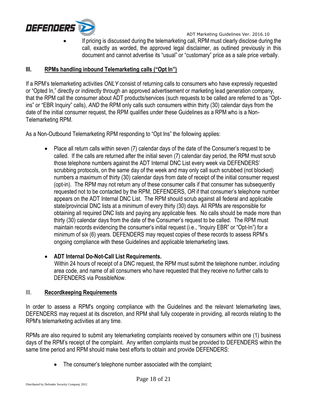

 If pricing is discussed during the telemarketing call, RPM must clearly disclose during the call, exactly as worded, the approved legal disclaimer, as outlined previously in this document and cannot advertise its "usual" or "customary" price as a sale price verbally.

### **III. RPMs handling inbound Telemarketing calls ("Opt In")**

If a RPM's telemarketing activities *ONLY* consist of returning calls to consumers who have expressly requested or "Opted In," directly or indirectly through an approved advertisement or marketing lead generation company, that the RPM call the consumer about ADT products/services (such requests to be called are referred to as "Optins" or "EBR Inquiry" calls), *AND* the RPM only calls such consumers within thirty (30) calendar days from the date of the initial consumer request, the RPM qualifies under these Guidelines as a RPM who is a Non-Telemarketing RPM.

As a Non-Outbound Telemarketing RPM responding to "Opt Ins" the following applies:

• Place all return calls within seven (7) calendar days of the date of the Consumer's request to be called.If the calls are returned after the initial seven (7) calendar day period, the RPM must scrub those telephone numbers against the ADT Internal DNC List every week via DEFENDERS' scrubbing protocols, on the same day of the week and may only call such scrubbed (not blocked) numbers a maximum of thirty (30) calendar days from date of receipt of the initial consumer request (opt-in). The RPM may not return any of these consumer calls if that consumer has subsequently requested not to be contacted by the RPM, DEFENDERS, *OR* if that consumer's telephone number appears on the ADT Internal DNC List. The RPM should scrub against all federal and applicable state/provincial DNC lists at a minimum of every thirty (30) days. All RPMs are responsible for obtaining all required DNC lists and paying any applicable fees. No calls should be made more than thirty (30) calendar days from the date of the Consumer's request to be called.The RPM must maintain records evidencing the consumer's initial request (i.e., "Inquiry EBR" or "Opt-In") for a minimum of six (6) years. DEFENDERS may request copies of these records to assess RPM's ongoing compliance with these Guidelines and applicable telemarketing laws.

## **ADT Internal Do-Not-Call List Requirements.**

Within 24 hours of receipt of a DNC request, the RPM must submit the telephone number, including area code, and name of all consumers who have requested that they receive no further calls to DEFENDERS via PossibleNow.

#### III. **Recordkeeping Requirements**

In order to assess a RPM's ongoing compliance with the Guidelines and the relevant telemarketing laws, DEFENDERS may request at its discretion, and RPM shall fully cooperate in providing, all records relating to the RPM's telemarketing activities at any time.

RPMs are also required to submit any telemarketing complaints received by consumers within one (1) business days of the RPM's receipt of the complaint. Any written complaints must be provided to DEFENDERS within the same time period and RPM should make best efforts to obtain and provide DEFENDERS:

• The consumer's telephone number associated with the complaint;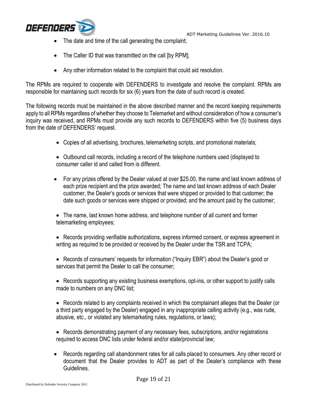

- The date and time of the call generating the complaint;
- The Caller ID that was transmitted on the call [by RPM];
- Any other information related to the complaint that could aid resolution.

The RPMs are required to cooperate with DEFENDERS to investigate and resolve the complaint. RPMs are responsible for maintaining such records for six (6) years from the date of such record is created.

The following records must be maintained in the above described manner and the record keeping requirements apply to all RPMs regardless of whether they choose to Telemarket and without consideration of how a consumer's inquiry was received, and RPMs must provide any such records to DEFENDERS within five (5) business days from the date of DEFENDERS' request.

- Copies of all advertising, brochures, telemarketing scripts, and promotional materials;
- Outbound call records, including a record of the telephone numbers used (displayed to consumer caller id and called from is different.
- For any prizes offered by the Dealer valued at over \$25.00, the name and last known address of each prize recipient and the prize awarded; The name and last known address of each Dealer customer, the Dealer's goods or services that were shipped or provided to that customer; the date such goods or services were shipped or provided; and the amount paid by the customer;
- The name, last known home address, and telephone number of all current and former telemarketing employees;
- Records providing verifiable authorizations, express informed consent, or express agreement in writing as required to be provided or received by the Dealer under the TSR and TCPA;
- Records of consumers' requests for information ("Inquiry EBR") about the Dealer's good or services that permit the Dealer to call the consumer;
- Records supporting any existing business exemptions, opt-ins, or other support to justify calls made to numbers on any DNC list;
- Records related to any complaints received in which the complainant alleges that the Dealer (or a third party engaged by the Dealer) engaged in any inappropriate calling activity (e.g., was rude, abusive, etc., or violated any telemarketing rules, regulations, or laws);
- Records demonstrating payment of any necessary fees, subscriptions, and/or registrations required to access DNC lists under federal and/or state/provincial law;
- Records regarding call abandonment rates for all calls placed to consumers. Any other record or document that the Dealer provides to ADT as part of the Dealer's compliance with these Guidelines.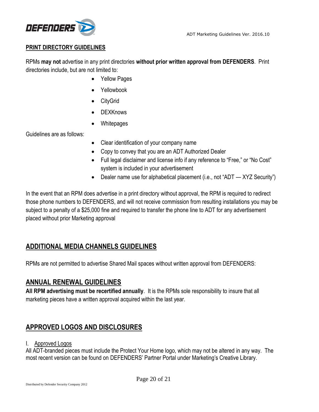

## **PRINT DIRECTORY GUIDELINES**

RPMs **may not** advertise in any print directories **without prior written approval from DEFENDERS**. Print directories include, but are not limited to:

- Yellow Pages
- Yellowbook
- CityGrid
- DEXKnows
- Whitepages

Guidelines are as follows:

- Clear identification of your company name
- Copy to convey that you are an ADT Authorized Dealer
- Full legal disclaimer and license info if any reference to "Free," or "No Cost" system is included in your advertisement
- Dealer name use for alphabetical placement (i.e., not "ADT XYZ Security")

In the event that an RPM does advertise in a print directory without approval, the RPM is required to redirect those phone numbers to DEFENDERS, and will not receive commission from resulting installations you may be subject to a penalty of a \$25,000 fine and required to transfer the phone line to ADT for any advertisement placed without prior Marketing approval

# **ADDITIONAL MEDIA CHANNELS GUIDELINES**

RPMs are not permitted to advertise Shared Mail spaces without written approval from DEFENDERS:

## **ANNUAL RENEWAL GUIDELINES**

**All RPM advertising must be recertified annually**. It is the RPMs sole responsibility to insure that all marketing pieces have a written approval acquired within the last year.

# **APPROVED LOGOS AND DISCLOSURES**

## I. Approved Logos

All ADT-branded pieces must include the Protect Your Home logo, which may not be altered in any way. The most recent version can be found on DEFENDERS' Partner Portal under Marketing's Creative Library.